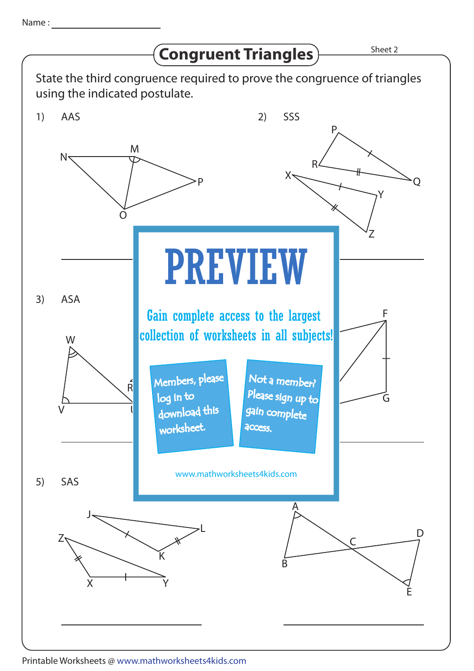